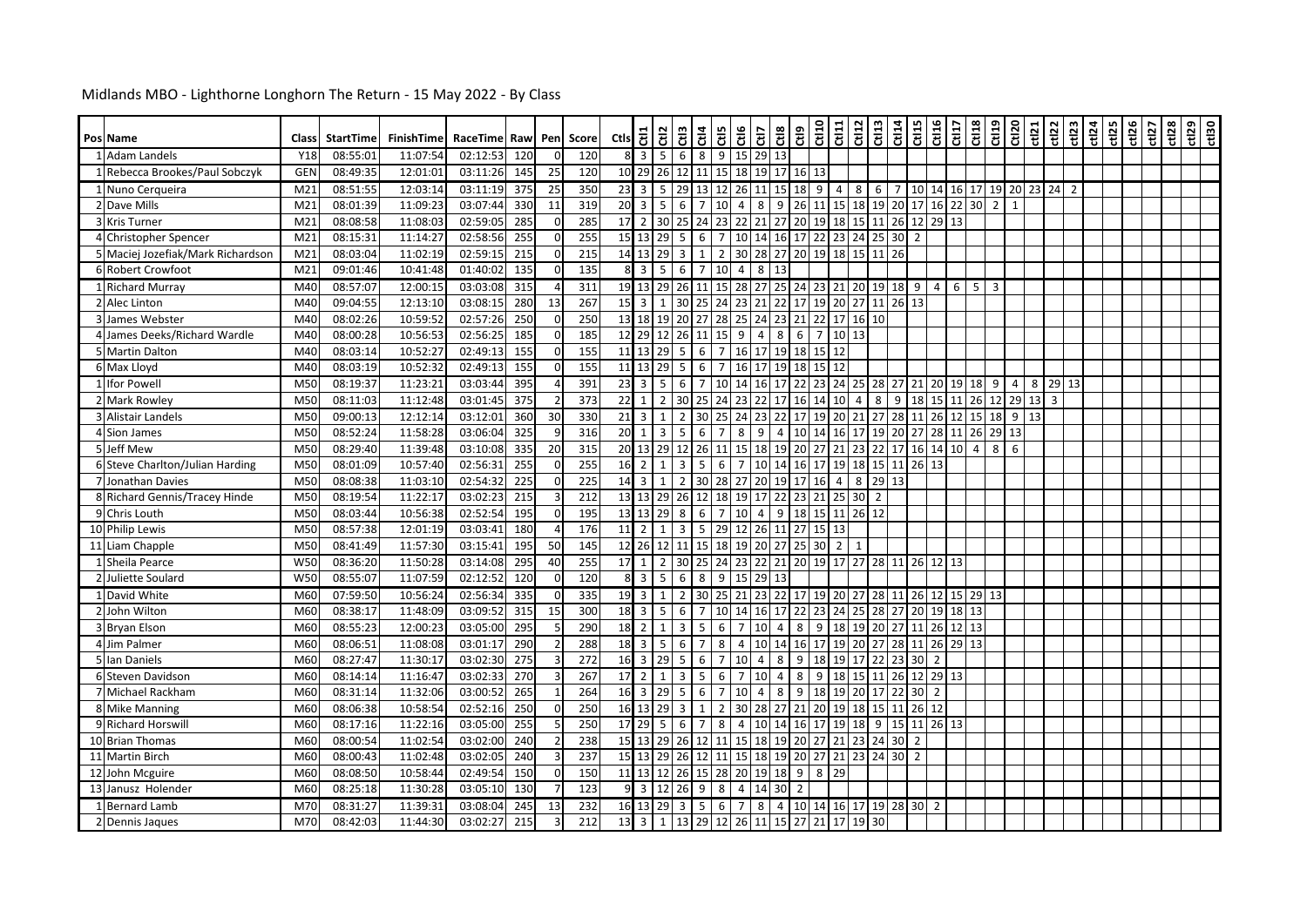| Pos Name                          | Class           | <b>StartTime</b> | FinishTime | RaceTime Raw |                  |                | Pen Score        | $\frac{1}{5}$                    |                                  | 윙                                                                 |                | $rac{ct4}{ct5}$ | Ctl6                                                             |                | Ctl <sub>3</sub>  |                                         |                    | $\begin{array}{c} \frac{\text{eff}}{\text{eff}} \end{array} \begin{array}{ c c } \frac{\text{eff}}{\text{eff}} \end{array} \begin{array}{ c c } \frac{\text{eff}}{\text{eff}} \end{array} \begin{array}{ c c c } \frac{\text{eff}}{\text{eff}} \end{array} \begin{array}{ c c c c } \frac{\text{eff}}{\text{eff}} \end{array} \begin{array}{ c c c c c } \frac{\text{eff}}{\text{eff}} \end{array} \begin{array}{ c c c c c c } \hline \frac{\text{eff}}{\text{eff}} \end{array} \begin{array}{$ |                |          | $rac{5}{2}$                   |                | CLID<br>GLID | erin<br>Ctin   |            | Ct120     | ct12 | ct122 | ct123 | rt24 | ct125<br>ct126 | ct127 | ct128 | $\frac{129}{150}$ |
|-----------------------------------|-----------------|------------------|------------|--------------|------------------|----------------|------------------|----------------------------------|----------------------------------|-------------------------------------------------------------------|----------------|-----------------|------------------------------------------------------------------|----------------|-------------------|-----------------------------------------|--------------------|--------------------------------------------------------------------------------------------------------------------------------------------------------------------------------------------------------------------------------------------------------------------------------------------------------------------------------------------------------------------------------------------------------------------------------------------------------------------------------------------------|----------------|----------|-------------------------------|----------------|--------------|----------------|------------|-----------|------|-------|-------|------|----------------|-------|-------|-------------------|
| 1 Adam Landels                    | Y18             | 08:55:01         | 11:07:54   | 02:12:53     | 120              |                | 120              | 8                                | $\overline{3}$                   | 5 <sub>1</sub>                                                    | 6              | $8\phantom{.}8$ | 9<br>15                                                          |                | 29 13             |                                         |                    |                                                                                                                                                                                                                                                                                                                                                                                                                                                                                                  |                |          |                               |                |              |                |            |           |      |       |       |      |                |       |       |                   |
| 1 Rebecca Brookes/Paul Sobczyk    | <b>GEN</b>      | 08:49:35         | 12:01:01   | 03:11:26     | 145              | 25             | 120              |                                  |                                  |                                                                   |                |                 | 10 29 26 12 11 15 18 19 17 16 13                                 |                |                   |                                         |                    |                                                                                                                                                                                                                                                                                                                                                                                                                                                                                                  |                |          |                               |                |              |                |            |           |      |       |       |      |                |       |       |                   |
| 1 Nuno Cerqueira                  | M <sub>21</sub> | 08:51:55         | 12:03:14   | 03:11:19     | 375              | 25             | 350              | $23 \mid 3$                      |                                  | $5 \mid 29$                                                       |                |                 | 13 12 26 11 15 18 9                                              |                |                   |                                         |                    | $4 \quad 8$                                                                                                                                                                                                                                                                                                                                                                                                                                                                                      |                |          | 6 7 10 14 16 17 19 20 23 24 2 |                |              |                |            |           |      |       |       |      |                |       |       |                   |
| 2 Dave Mills                      | M <sub>21</sub> | 08:01:39         | 11:09:23   | 03:07:44     | 330              | 11             | 319              |                                  | $20\overline{3}$                 | 5 <sub>1</sub>                                                    | 6              | $\overline{7}$  | 10 <sup>1</sup><br>$\overline{4}$                                | 8              |                   | $9$ 26 11 15 18 19 20 17 16 22 30 2 1   |                    |                                                                                                                                                                                                                                                                                                                                                                                                                                                                                                  |                |          |                               |                |              |                |            |           |      |       |       |      |                |       |       |                   |
| 3 Kris Turner                     | M <sub>21</sub> | 08:08:58         | 11:08:03   | 02:59:05     | 285              |                | 285              | $172$                            |                                  | 30 25                                                             |                |                 | 24 23 22 21 27 20 19 18 15 11 26 12 29 13                        |                |                   |                                         |                    |                                                                                                                                                                                                                                                                                                                                                                                                                                                                                                  |                |          |                               |                |              |                |            |           |      |       |       |      |                |       |       |                   |
| 4 Christopher Spencer             | M <sub>21</sub> | 08:15:31         | 11:14:27   | 02:58:56     | 255              |                | 255              |                                  | 15 13 29                         |                                                                   | 5              | 6               | $\overline{7}$                                                   |                |                   | 10 14 16 17 22 23 24 25 30 2            |                    |                                                                                                                                                                                                                                                                                                                                                                                                                                                                                                  |                |          |                               |                |              |                |            |           |      |       |       |      |                |       |       |                   |
| 5 Maciej Jozefiak/Mark Richardson | M <sub>21</sub> | 08:03:04         | 11:02:19   | 02:59:15     | 215              |                | 215              |                                  |                                  | 14 13 29 3                                                        |                | 1               | $\overline{2}$                                                   |                |                   | 30 28 27 20 19 18 15 11                 |                    |                                                                                                                                                                                                                                                                                                                                                                                                                                                                                                  |                | 26       |                               |                |              |                |            |           |      |       |       |      |                |       |       |                   |
| 6 Robert Crowfoot                 | M <sub>21</sub> | 09:01:46         | 10:41:48   | 01:40:02     | 135              |                | 135              | 8 <sup>1</sup>                   | $\overline{3}$                   | 5 <sup>1</sup>                                                    | 6              | $\overline{7}$  | 10<br>$\overline{4}$                                             |                | 8 13              |                                         |                    |                                                                                                                                                                                                                                                                                                                                                                                                                                                                                                  |                |          |                               |                |              |                |            |           |      |       |       |      |                |       |       |                   |
| 1 Richard Murray                  | M40             | 08:57:07         | 12:00:15   | 03:03:08     | 315              |                | 311              |                                  |                                  | 19 13 29 26                                                       |                |                 | 11   15   28   27   25   24   23   21   20   19   18   9   4   6 |                |                   |                                         |                    |                                                                                                                                                                                                                                                                                                                                                                                                                                                                                                  |                |          |                               |                |              | $5 \mid 3$     |            |           |      |       |       |      |                |       |       |                   |
| 2 Alec Linton                     | M40             | 09:04:55         | 12:13:10   | 03:08:15     | 280              | 13             | 267              | 15                               | $\overline{3}$                   | $\mathbf{1}$                                                      | 30             | 25              | $\overline{24}$<br>23                                            | 21             | 22                | 17 19                                   |                    | 20                                                                                                                                                                                                                                                                                                                                                                                                                                                                                               | 27             | 11       | 26 13                         |                |              |                |            |           |      |       |       |      |                |       |       |                   |
| 3 James Webster                   | M40             | 08:02:26         | 10:59:52   | 02:57:26     | 250              |                | 250              |                                  |                                  |                                                                   |                |                 | 13 18 19 20 27 28 25 24 23 21 22                                 |                |                   |                                         |                    | 17 16 10                                                                                                                                                                                                                                                                                                                                                                                                                                                                                         |                |          |                               |                |              |                |            |           |      |       |       |      |                |       |       |                   |
| 4 James Deeks/Richard Wardle      | M40             | 08:00:28         | 10:56:53   | 02:56:25     | 185              | $\Omega$       | 185              |                                  |                                  | 12 29 12 26                                                       |                |                 | 11 15 9                                                          |                | $4 \mid 8$        |                                         | $6 \mid 7$         | 10 13                                                                                                                                                                                                                                                                                                                                                                                                                                                                                            |                |          |                               |                |              |                |            |           |      |       |       |      |                |       |       |                   |
| 5 Martin Dalton                   | M40             | 08:03:14         | 10:52:27   | 02:49:13     | 155              |                | 155              | 11 13                            |                                  | 29                                                                | 5              | 6               | $\overline{7}$                                                   |                |                   | 16 17 19 18 15                          |                    | 12                                                                                                                                                                                                                                                                                                                                                                                                                                                                                               |                |          |                               |                |              |                |            |           |      |       |       |      |                |       |       |                   |
| 6 Max Lloyd                       | M40             | 08:03:19         | 10:52:32   | 02:49:13     | $\overline{155}$ |                | 155              |                                  |                                  | 11 13 29 5                                                        |                | $6 \mid 7$      |                                                                  |                |                   | 16 17 19 18 15 12                       |                    |                                                                                                                                                                                                                                                                                                                                                                                                                                                                                                  |                |          |                               |                |              |                |            |           |      |       |       |      |                |       |       |                   |
| 1 Ifor Powell                     | M50             | 08:19:37         | 11:23:21   | 03:03:44     | 395              |                | 391              | $23 \overline{\smash{\big)}\ 3}$ |                                  | $5 \mid 6$                                                        |                | $\overline{7}$  | 10 14 16 17 22 23                                                |                |                   |                                         |                    |                                                                                                                                                                                                                                                                                                                                                                                                                                                                                                  |                |          | 24 25 28 27 21 20 19          |                |              | $18$   9       |            | 4 8 29 13 |      |       |       |      |                |       |       |                   |
| 2 Mark Rowley                     | M50             | 08:11:03         | 11:12:48   | 03:01:45     | 375              |                | $\overline{373}$ | 22                               | 1                                | 2 30                                                              |                | 25              | 24                                                               |                |                   | 23 22 17 16 14 10                       |                    |                                                                                                                                                                                                                                                                                                                                                                                                                                                                                                  | $\overline{4}$ | 8<br>9   |                               |                |              | 18 15 11 26    | 12         | $29$ 13 3 |      |       |       |      |                |       |       |                   |
| <b>3 Alistair Landels</b>         | M50             | 09:00:13         | 12:12:14   | 03:12:01     | 360              | 30             | 330              |                                  | $21 \overline{\smash{\big)}\ 3}$ | $1 \vert 2$                                                       |                |                 | 30 25 24 23 22 17 19 20 21 27 28 11 26 12                        |                |                   |                                         |                    |                                                                                                                                                                                                                                                                                                                                                                                                                                                                                                  |                |          |                               |                |              |                | 15 18 9 13 |           |      |       |       |      |                |       |       |                   |
| 4 Sion James                      | M50             | 08:52:24         | 11:58:28   | 03:06:04     | 325              |                | 316              | 20                               | 1                                | 3 <sup>1</sup>                                                    | - 5            | 6               | $\overline{7}$<br>8                                              |                |                   | 9 4 10 14 16 17 19 20 27 28 11 26 29 13 |                    |                                                                                                                                                                                                                                                                                                                                                                                                                                                                                                  |                |          |                               |                |              |                |            |           |      |       |       |      |                |       |       |                   |
| 5 Jeff Mew                        | M50             | 08:29:40         | 11:39:48   | 03:10:08     | 335              | 20             | 315              |                                  |                                  |                                                                   |                |                 | 20 13 29 12 26 11 15 18 19 20 27 21 23 22 17 16 14 10            |                |                   |                                         |                    |                                                                                                                                                                                                                                                                                                                                                                                                                                                                                                  |                |          |                               |                |              | $\overline{4}$ | 8          | 6         |      |       |       |      |                |       |       |                   |
| 6 Steve Charlton/Julian Harding   | M50             | 08:01:09         | 10:57:40   | 02:56:31     | 255              |                | 255              | $16\overline{2}$                 |                                  | $\overline{1}$                                                    | $\overline{3}$ | 5               | 6<br>7 <sup>1</sup>                                              |                |                   | 10 14 16 17                             |                    |                                                                                                                                                                                                                                                                                                                                                                                                                                                                                                  |                |          | 19 18 15 11 26 13             |                |              |                |            |           |      |       |       |      |                |       |       |                   |
| 7 Jonathan Davies                 | M50             | 08:08:38         | 11:03:10   | 02:54:32     | 225              |                | 225              | $14 \overline{\smash{\big)}\ 3}$ |                                  | $1\vert$                                                          | $\overline{2}$ |                 | 30 28 27 20 19 17 16                                             |                |                   |                                         |                    | $\overline{4}$                                                                                                                                                                                                                                                                                                                                                                                                                                                                                   | 8              | 29 13    |                               |                |              |                |            |           |      |       |       |      |                |       |       |                   |
| 8 Richard Gennis/Tracey Hinde     | M50             | 08:19:54         | 11:22:17   | 03:02:23     | 215              |                | 212              |                                  |                                  | 13 13 29 26                                                       |                | 12              | 18 19 17 22 23 21                                                |                |                   |                                         |                    | 25 30 2                                                                                                                                                                                                                                                                                                                                                                                                                                                                                          |                |          |                               |                |              |                |            |           |      |       |       |      |                |       |       |                   |
| 9 Chris Louth                     | M50             | 08:03:44         | 10:56:38   | 02:52:54     | 195              |                | 195              | 13 13                            |                                  | 29                                                                | 8              | 6               | $\overline{7}$<br>10                                             |                |                   | 4 9 18 15                               |                    | 11                                                                                                                                                                                                                                                                                                                                                                                                                                                                                               | 26 12          |          |                               |                |              |                |            |           |      |       |       |      |                |       |       |                   |
| 10 Philip Lewis                   | M50             | 08:57:38         | 12:01:19   | 03:03:41     | 180              |                | 176              | $11$   2                         |                                  | $1 \vert 3$                                                       |                |                 | 5 29 12 26 11 27 15 13                                           |                |                   |                                         |                    |                                                                                                                                                                                                                                                                                                                                                                                                                                                                                                  |                |          |                               |                |              |                |            |           |      |       |       |      |                |       |       |                   |
| 11 Liam Chapple                   | M50             | 08:41:49         | 11:57:30   | 03:15:41     | 195              | 50             | 145              |                                  | 12 26                            | 12 11                                                             |                |                 | 15 18 19 20 27 25 30                                             |                |                   |                                         |                    | 2 1                                                                                                                                                                                                                                                                                                                                                                                                                                                                                              |                |          |                               |                |              |                |            |           |      |       |       |      |                |       |       |                   |
| 1 Sheila Pearce                   | W50             | 08:36:20         | 11:50:28   | 03:14:08     | 295              | 40             | 255              | 17                               | 1                                |                                                                   |                |                 | 2 30 25 24 23 22 21 20 19 17 27 28 11 26 12 13                   |                |                   |                                         |                    |                                                                                                                                                                                                                                                                                                                                                                                                                                                                                                  |                |          |                               |                |              |                |            |           |      |       |       |      |                |       |       |                   |
| 2 Juliette Soulard                | W50             | 08:55:07         | 11:07:59   | 02:12:52     | 120              | $\Omega$       | 120              |                                  | $\frac{8}{3}$                    | $5 \overline{6}$                                                  |                | $^{\circ}$      | 9 15 29 13                                                       |                |                   |                                         |                    |                                                                                                                                                                                                                                                                                                                                                                                                                                                                                                  |                |          |                               |                |              |                |            |           |      |       |       |      |                |       |       |                   |
| 1 David White                     | M60             | 07:59:50         | 10:56:24   | 02:56:34     | 335              |                | 335              |                                  | 19 3                             | $1\vert$                                                          | $\overline{2}$ |                 | 30 25 21 23 22 17 19 20 27 28 11 26 12 15 29 13                  |                |                   |                                         |                    |                                                                                                                                                                                                                                                                                                                                                                                                                                                                                                  |                |          |                               |                |              |                |            |           |      |       |       |      |                |       |       |                   |
| 2 John Wilton                     | M60             | 08:38:17         | 11:48:09   | 03:09:52     | 315              | 15             | 300              | 18 3                             |                                  | 5 <sub>1</sub>                                                    | 6              | $7\overline{ }$ | 10 14 16 17 22 23 24 25 28 27 20 19 18 13                        |                |                   |                                         |                    |                                                                                                                                                                                                                                                                                                                                                                                                                                                                                                  |                |          |                               |                |              |                |            |           |      |       |       |      |                |       |       |                   |
| 3 Bryan Elson                     | M60             | 08:55:23         | 12:00:23   | 03:05:00     | 295              |                | 290              | 18                               | $\overline{2}$                   | $1\vert$                                                          | 3              | 5               | 6<br>$\overline{7}$                                              | 10             | $\overline{4}$    | $8 \mid 9$                              |                    | 18 19                                                                                                                                                                                                                                                                                                                                                                                                                                                                                            |                |          | 20 27 11                      |                | 26 12        | 13             |            |           |      |       |       |      |                |       |       |                   |
| 4 Jim Palmer                      | M60             | 08:06:51         | 11:08:08   | 03:01:17     | 290              |                | 288              | 18 3                             |                                  | 5 <sub>1</sub>                                                    | 6              | $\overline{7}$  | 8                                                                |                |                   | 4 10 14 16 17                           |                    | 19 20 27                                                                                                                                                                                                                                                                                                                                                                                                                                                                                         |                |          | 28 11 26 29 13                |                |              |                |            |           |      |       |       |      |                |       |       |                   |
| 5 Ian Daniels                     | M60             | 08:27:47         | 11:30:17   | 03:02:30     | 275              |                | 272              |                                  | 16 3 29                          |                                                                   | 5              | 6               | $\overline{7}$<br>10                                             |                | $4 \quad 8$       |                                         | $9 \mid 18$        | 19 17                                                                                                                                                                                                                                                                                                                                                                                                                                                                                            |                | 22       | 23 30                         | $\overline{2}$ |              |                |            |           |      |       |       |      |                |       |       |                   |
| 6 Steven Davidson                 | M60             | 08:14:14         | 11:16:47   | 03:02:33     | 270              |                | 267              | $17\overline{2}$                 |                                  | $1\vert$                                                          | 3              | 5               | 6<br>$7^{\circ}$                                                 |                | $10 \mid 4$       | 8 9                                     |                    | 18 15 11                                                                                                                                                                                                                                                                                                                                                                                                                                                                                         |                |          | 26 12 29 13                   |                |              |                |            |           |      |       |       |      |                |       |       |                   |
| 7 Michael Rackham                 | M60             | 08:31:14         | 11:32:06   | 03:00:52     | 265              |                | 264              |                                  |                                  | $16 \overline{\smash)3} \overline{\smash)29} \overline{\smash)5}$ |                | 6               | $\overline{7}$<br>10                                             | $\overline{4}$ | 8                 |                                         | $9 \overline{)18}$ | 19 20 17                                                                                                                                                                                                                                                                                                                                                                                                                                                                                         |                |          | 22 30                         | $\overline{2}$ |              |                |            |           |      |       |       |      |                |       |       |                   |
| 8 Mike Manning                    | M60             | 08:06:38         | 10:58:54   | 02:52:16     | 250              |                | 250              |                                  | 16 13                            | 29                                                                | 3              | $\mathbf{1}$    | $\overline{2}$<br>30                                             |                | $28\overline{27}$ | $21 \overline{\smash{)}20}$             |                    | 19 18                                                                                                                                                                                                                                                                                                                                                                                                                                                                                            |                | 11<br>15 |                               | 26 12          |              |                |            |           |      |       |       |      |                |       |       |                   |
| 9 Richard Horswil                 | M60             | 08:17:16         | 11:22:16   | 03:05:00     | 255              |                | 250              | 17 29                            |                                  | 5 <sup>1</sup>                                                    | 6              | $\overline{7}$  | 8<br>$\overline{4}$                                              |                |                   | 10 14 16 17                             |                    |                                                                                                                                                                                                                                                                                                                                                                                                                                                                                                  |                |          | 19 18 9 15 11 26 13           |                |              |                |            |           |      |       |       |      |                |       |       |                   |
| 10 Brian Thomas                   | M60             | 08:00:54         | 11:02:54   | 03:02:00     | 240              |                | 238              |                                  |                                  | 15 13 29 26                                                       |                |                 | 12 11 15 18 19 20 27 21 23 24 30 2                               |                |                   |                                         |                    |                                                                                                                                                                                                                                                                                                                                                                                                                                                                                                  |                |          |                               |                |              |                |            |           |      |       |       |      |                |       |       |                   |
| 11 Martin Birch                   | M60             | 08:00:43         | 11:02:48   | 03:02:05     | 240              |                | 237              |                                  | 15 13                            | 29 26                                                             |                | 12 11           | 15                                                               |                |                   | 18 19 20 27 21 23 24 30 2               |                    |                                                                                                                                                                                                                                                                                                                                                                                                                                                                                                  |                |          |                               |                |              |                |            |           |      |       |       |      |                |       |       |                   |
| 12 John Mcguire                   | M60             | 08:08:50         | 10:58:44   | 02:49:54     | 150              |                | 150              |                                  |                                  |                                                                   |                |                 | 11 13 12 26 15 28 20 19 18 9 8                                   |                |                   |                                         |                    | 29                                                                                                                                                                                                                                                                                                                                                                                                                                                                                               |                |          |                               |                |              |                |            |           |      |       |       |      |                |       |       |                   |
| 13 Janusz Holender                | M60             | 08:25:18         | 11:30:28   | 03:05:10     | 130              |                | 123              | 9 <sub>l</sub>                   |                                  | $3 \mid 12 \mid 26$                                               |                | 9               | 8                                                                | 4 14 30        |                   | 2                                       |                    |                                                                                                                                                                                                                                                                                                                                                                                                                                                                                                  |                |          |                               |                |              |                |            |           |      |       |       |      |                |       |       |                   |
| 1 Bernard Lamb                    | M70             | 08:31:27         | 11:39:31   | 03:08:04     | 245              | 13             | 232              |                                  |                                  | 16 13 29 3                                                        |                |                 | 5 6 7 8 4 10 14 16 17 19 28 30                                   |                |                   |                                         |                    |                                                                                                                                                                                                                                                                                                                                                                                                                                                                                                  |                |          |                               | $\overline{2}$ |              |                |            |           |      |       |       |      |                |       |       |                   |
| 2 Dennis Jaques                   | M70             | 08:42:03         | 11:44:30   | 03:02:27     | $\overline{215}$ | $\overline{3}$ | 212              |                                  |                                  |                                                                   |                |                 | 13 3 1 13 29 12 26 11 15 27 21 17 19 30                          |                |                   |                                         |                    |                                                                                                                                                                                                                                                                                                                                                                                                                                                                                                  |                |          |                               |                |              |                |            |           |      |       |       |      |                |       |       |                   |

Midlands MBO - Lighthorne Longhorn The Return - 15 May 2022 - By Class